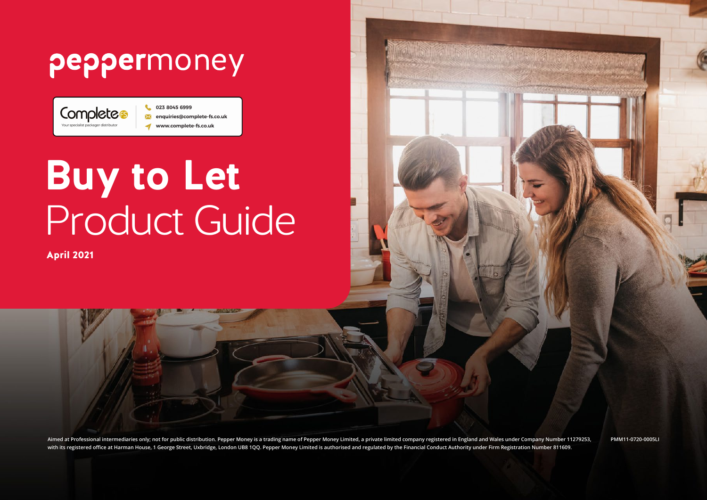## peppermoney

023 8045 6999 Completes enquiries@complete-fs.co.uk www.complete-fs.co.uk z

# **Buy to Let**  Product Guide

April 2021

**Aimed at Professional intermediaries only; not for public distribution. Pepper Money is a trading name of Pepper Money Limited, a private limited company registered in England and Wales under Company Number 11279253, with its registered office at Harman House, 1 George Street, Uxbridge, London UB8 1QQ. Pepper Money Limited is authorised and regulated by the Financial Conduct Authority under Firm Registration Number 811609.**

**PMM11-0720-0005LI**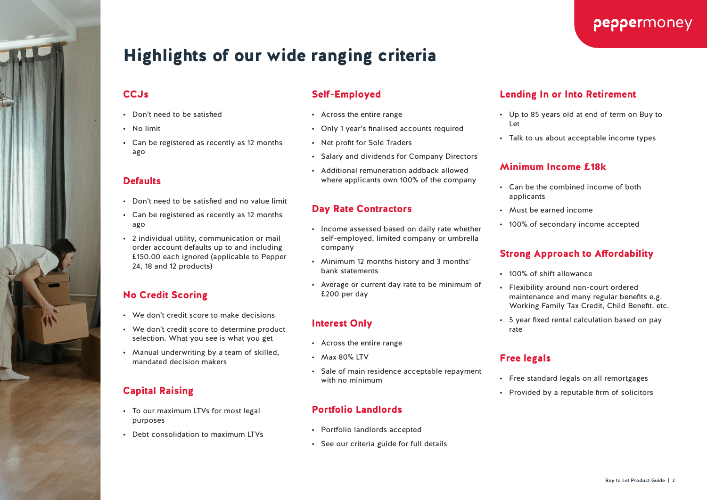

peppermoney

- Lending In or Into Retirement
- Up to 85 years old at end of term on Buy to Let
- Talk to us about acceptable income types

#### Minimum Income £18k

- Can be the combined income of both applicants
- Must be earned income
- 100% of secondary income accepted

#### Strong Approach to Affordability

- 100% of shift allowance
- Flexibility around non-court ordered maintenance and many regular benefits e.g. Working Family Tax Credit, Child Benefit, etc.
- 5 year fixed rental calculation based on pay rate

#### Free legals

- Free standard legals on all remortgages
- Provided by a reputable firm of solicitors

### Highlights of our wide ranging criteria

#### **CCJs**

- Don't need to be satisfied
- No limit
- Can be registered as recently as 12 months ago

#### **Defaults**

- Don't need to be satisfied and no value limit
- Can be registered as recently as 12 months ago
- 2 individual utility, communication or mail order account defaults up to and including £150.00 each ignored (applicable to Pepper 24, 18 and 12 products)

### No Credit Scoring

- We don't credit score to make decisions
- We don't credit score to determine product selection. What you see is what you get
- Manual underwriting by a team of skilled, mandated decision makers

### Capital Raising

- To our maximum LTVs for most legal purposes
- Debt consolidation to maximum LTVs

### Self-Employed

- Across the entire range
- Only 1 year's finalised accounts required
- Net profit for Sole Traders
- Salary and dividends for Company Directors
- Additional remuneration addback allowed where applicants own 100% of the company

#### Day Rate Contractors

- Income assessed based on daily rate whether self-employed, limited company or umbrella company
- Minimum 12 months history and 3 months' bank statements
- Average or current day rate to be minimum of £200 per day

### Interest Only

- Across the entire range
- Max 80% LTV
- Sale of main residence acceptable repayment with no minimum

#### Portfolio Landlords

- Portfolio landlords accepted
- See our criteria guide for full details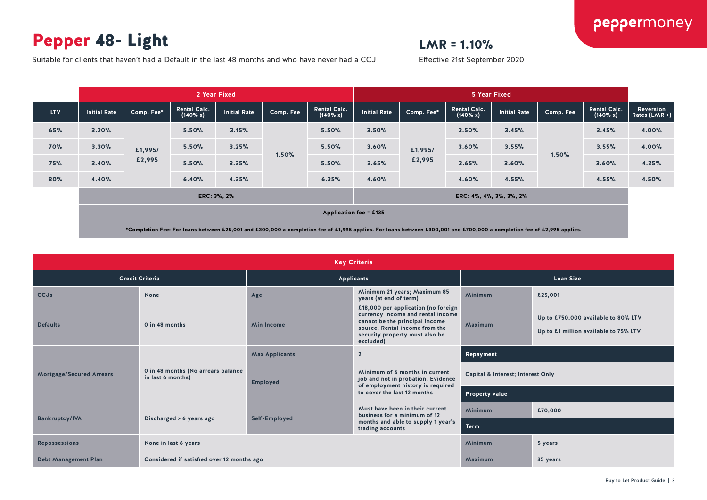### Pepper 48- Light

### $LMR = 1.10%$

Effective 21st September 2020

Suitable for clients that haven't had a Default in the last 48 months and who have never had a CCJ

|            | 2 Year Fixed                  |            |                                    |                     |           |                                    | 5 Year Fixed        |            |                                 |                         |           |                                 |                              |
|------------|-------------------------------|------------|------------------------------------|---------------------|-----------|------------------------------------|---------------------|------------|---------------------------------|-------------------------|-----------|---------------------------------|------------------------------|
| <b>LTV</b> | <b>Initial Rate</b>           | Comp. Fee* | <b>Rental Calc.</b><br>$(140\% x)$ | <b>Initial Rate</b> | Comp. Fee | <b>Rental Calc.</b><br>$(140\% x)$ | <b>Initial Rate</b> | Comp. Fee* | <b>Rental Calc.</b><br>(140% x) | <b>Initial Rate</b>     | Comp. Fee | <b>Rental Calc.</b><br>(140% x) | Reversion<br>Rates $(LMR +)$ |
| 65%        | 3.20%                         |            | 5.50%                              | 3.15%               |           | 5.50%                              | 3.50%               |            | 3.50%                           | 3.45%                   |           | 3.45%                           | 4.00%                        |
| <b>70%</b> | 3.30%                         | £1,995/    | 5.50%                              | 3.25%               | 1.50%     | 5.50%                              | 3.60%               | £1,995/    | 3.60%                           | 3.55%                   | 1.50%     | 3.55%                           | 4.00%                        |
| 75%        | 3.40%                         | £2,995     | 5.50%                              | 3.35%               |           | 5.50%                              | 3.65%               | £2,995     | 3.65%                           | 3.60%                   |           | 3.60%                           | 4.25%                        |
| 80%        | 4.40%                         |            | 6.40%                              | 4.35%               |           | 6.35%                              | 4.60%               |            | 4.60%                           | 4.55%                   |           | 4.55%                           | 4.50%                        |
|            | ERC: 3%, 2%                   |            |                                    |                     |           |                                    |                     |            |                                 | ERC: 4%, 4%, 3%, 3%, 2% |           |                                 |                              |
|            | <b>Application fee = £135</b> |            |                                    |                     |           |                                    |                     |            |                                 |                         |           |                                 |                              |

|                                 |                                                         |                                         | <b>Key Criteria</b>                                                                                                                                                                         |                                   |                                                                              |  |
|---------------------------------|---------------------------------------------------------|-----------------------------------------|---------------------------------------------------------------------------------------------------------------------------------------------------------------------------------------------|-----------------------------------|------------------------------------------------------------------------------|--|
| <b>Credit Criteria</b>          |                                                         |                                         | <b>Applicants</b>                                                                                                                                                                           | <b>Loan Size</b>                  |                                                                              |  |
| <b>CCJs</b>                     | None                                                    | Age                                     | Minimum 21 years; Maximum 85<br>years (at end of term)                                                                                                                                      | <b>Minimum</b>                    | £25,001                                                                      |  |
| <b>Defaults</b>                 | 0 in 48 months                                          | <b>Min Income</b>                       | £18,000 per application (no foreign<br>currency income and rental income<br>cannot be the principal income<br>source. Rental income from the<br>security property must also be<br>excluded) | Maximum                           | Up to £750,000 available to 80% LTV<br>Up to £1 million available to 75% LTV |  |
|                                 |                                                         | <b>Max Applicants</b><br>$\overline{2}$ |                                                                                                                                                                                             | Repayment                         |                                                                              |  |
| <b>Mortgage/Secured Arrears</b> | 0 in 48 months (No arrears balance<br>in last 6 months) | <b>Employed</b>                         | Minimum of 6 months in current<br>job and not in probation. Evidence<br>of employment history is required                                                                                   | Capital & Interest; Interest Only |                                                                              |  |
|                                 |                                                         |                                         | to cover the last 12 months                                                                                                                                                                 | Property value                    |                                                                              |  |
|                                 |                                                         |                                         | Must have been in their current<br>business for a minimum of 12                                                                                                                             | <b>Minimum</b>                    | £70,000                                                                      |  |
| <b>Bankruptcy/IVA</b>           | Discharged > 6 years ago                                | Self-Employed                           | months and able to supply 1 year's<br>trading accounts                                                                                                                                      | <b>Term</b>                       |                                                                              |  |
| <b>Repossessions</b>            | None in last 6 years                                    |                                         |                                                                                                                                                                                             | <b>Minimum</b>                    | 5 years                                                                      |  |
| <b>Debt Management Plan</b>     | Considered if satisfied over 12 months ago              |                                         |                                                                                                                                                                                             | Maximum                           | 35 years                                                                     |  |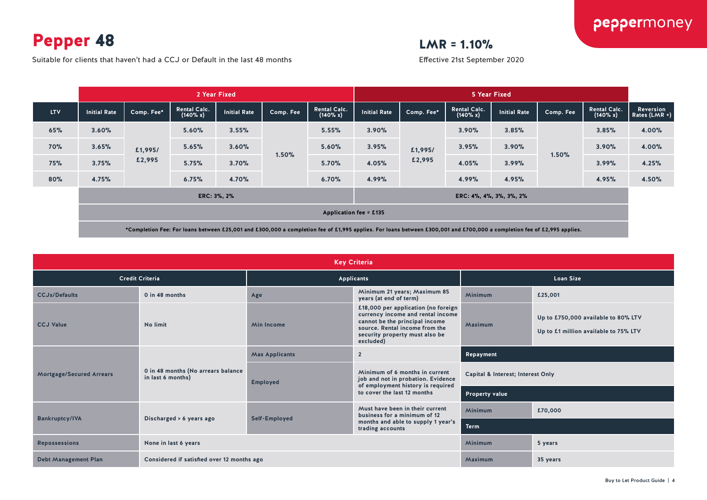Pepper 48

 $LMR = 1.10%$ 

Suitable for clients that haven't had a CCJ or Default in the last 48 months

Effective 21st September 2020

| <b>Initial Rate</b>                    |            |                                    | 2 Year Fixed        |           |                                    |                     |                   |                                    | 5 Year Fixed        |           |                                 |                              |  |  |
|----------------------------------------|------------|------------------------------------|---------------------|-----------|------------------------------------|---------------------|-------------------|------------------------------------|---------------------|-----------|---------------------------------|------------------------------|--|--|
|                                        | Comp. Fee* | <b>Rental Calc.</b><br>$(140\% x)$ | <b>Initial Rate</b> | Comp. Fee | <b>Rental Calc.</b><br>$(140\% x)$ | <b>Initial Rate</b> | Comp. Fee*        | <b>Rental Calc.</b><br>$(140\% x)$ | <b>Initial Rate</b> | Comp. Fee | <b>Rental Calc.</b><br>(140% x) | Reversion<br>Rates $(LMR +)$ |  |  |
| 3.60%                                  |            | 5.60%                              | 3.55%               |           | 5.55%                              | 3.90%               |                   | 3.90%                              | 3.85%               |           | 3.85%                           | 4.00%                        |  |  |
| 3.65%                                  | £1,995/    | 5.65%                              | 3.60%               | 1.50%     | 5.60%                              | 3.95%               | £1,995/<br>£2,995 | 3.95%                              | 3.90%               |           | 3.90%                           | 4.00%                        |  |  |
| 3.75%                                  | £2,995     | 5.75%                              | 3.70%               |           | 5.70%                              | 4.05%               |                   | 4.05%                              | 3.99%               |           | 3.99%                           | 4.25%                        |  |  |
| 4.75%                                  |            | 6.75%                              | 4.70%               |           | 6.70%                              | 4.99%               |                   | 4.99%                              | 4.95%               |           | 4.95%                           | 4.50%                        |  |  |
| ERC: 3%, 2%<br>ERC: 4%, 4%, 3%, 3%, 2% |            |                                    |                     |           |                                    |                     |                   |                                    |                     |           |                                 |                              |  |  |
| Application fee = £135                 |            |                                    |                     |           |                                    |                     |                   |                                    |                     |           |                                 |                              |  |  |
|                                        |            |                                    |                     |           |                                    |                     |                   |                                    |                     |           | 1.50%                           |                              |  |  |

|                                 |                                                         |                                                               | <b>Key Criteria</b>                                                                                                                                                                         |                                   |                                                                              |  |
|---------------------------------|---------------------------------------------------------|---------------------------------------------------------------|---------------------------------------------------------------------------------------------------------------------------------------------------------------------------------------------|-----------------------------------|------------------------------------------------------------------------------|--|
| <b>Credit Criteria</b>          |                                                         |                                                               | <b>Applicants</b>                                                                                                                                                                           | <b>Loan Size</b>                  |                                                                              |  |
| <b>CCJs/Defaults</b>            | 0 in 48 months                                          | Minimum 21 years; Maximum 85<br>Age<br>years (at end of term) |                                                                                                                                                                                             | Minimum                           | £25,001                                                                      |  |
| <b>CCJ Value</b>                | No limit                                                | <b>Min Income</b>                                             | £18,000 per application (no foreign<br>currency income and rental income<br>cannot be the principal income<br>source. Rental income from the<br>security property must also be<br>excluded) | Maximum                           | Up to £750,000 available to 80% LTV<br>Up to £1 million available to 75% LTV |  |
|                                 |                                                         | <b>Max Applicants</b><br>$\overline{2}$                       |                                                                                                                                                                                             | Repayment                         |                                                                              |  |
| <b>Mortgage/Secured Arrears</b> | 0 in 48 months (No arrears balance<br>in last 6 months) | <b>Employed</b>                                               | Minimum of 6 months in current<br>job and not in probation. Evidence<br>of employment history is required                                                                                   | Capital & Interest; Interest Only |                                                                              |  |
|                                 |                                                         |                                                               | to cover the last 12 months                                                                                                                                                                 | <b>Property value</b>             |                                                                              |  |
|                                 |                                                         |                                                               | Must have been in their current<br>business for a minimum of 12                                                                                                                             | <b>Minimum</b>                    | £70,000                                                                      |  |
| <b>Bankruptcy/IVA</b>           | Discharged > 6 years ago                                | Self-Employed                                                 | months and able to supply 1 year's<br>trading accounts                                                                                                                                      | <b>Term</b>                       |                                                                              |  |
| <b>Repossessions</b>            | None in last 6 years                                    |                                                               |                                                                                                                                                                                             | Minimum                           | 5 years                                                                      |  |
| <b>Debt Management Plan</b>     | Considered if satisfied over 12 months ago              |                                                               |                                                                                                                                                                                             | Maximum                           | 35 years                                                                     |  |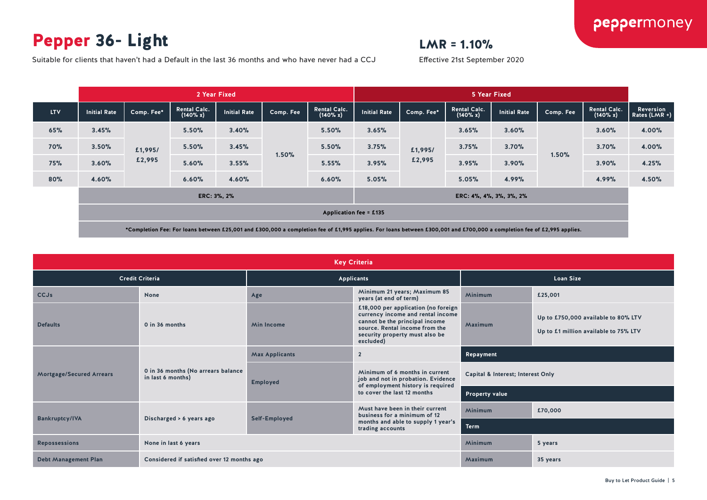### Pepper 36- Light

### $LMR = 1.10%$

Effective 21st September 2020

Suitable for clients that haven't had a Default in the last 36 months and who have never had a CCJ

|                                        |                                                        | 2 Year Fixed |                                 |              |            |                                 |              | 5 Year Fixed |                                 |                              |  |  |
|----------------------------------------|--------------------------------------------------------|--------------|---------------------------------|--------------|------------|---------------------------------|--------------|--------------|---------------------------------|------------------------------|--|--|
| $(140\% x)$                            | <b>Initial Rate</b>                                    | Comp. Fee    | <b>Rental Calc.</b><br>(140% x) | Initial Rate | Comp. Fee* | <b>Rental Calc.</b><br>(140% x) | Initial Rate | Comp. Fee    | <b>Rental Calc.</b><br>(140% x) | Reversion<br>Rates $(LMR +)$ |  |  |
| 5.50%                                  | 3.40%                                                  |              | 5.50%                           | 3.65%        |            | 3.65%                           | 3.60%        |              | 3.60%                           | 4.00%                        |  |  |
| 5.50%                                  | 3.45%                                                  | 1.50%        | 5.50%                           | 3.75%        | £1,995/    | 3.75%                           | 3.70%        |              | 3.70%                           | 4.00%                        |  |  |
| 5.60%                                  | 3.55%                                                  |              | 5.55%                           | 3.95%        | £2,995     | 3.95%                           | 3.90%        |              | 3.90%                           | 4.25%                        |  |  |
| 6.60%                                  | 4.60%                                                  |              | 6.60%                           | 5.05%        |            | 5.05%                           | 4.99%        |              | 4.99%                           | 4.50%                        |  |  |
| ERC: 3%, 2%<br>ERC: 4%, 4%, 3%, 3%, 2% |                                                        |              |                                 |              |            |                                 |              |              |                                 |                              |  |  |
| Application fee = £135                 |                                                        |              |                                 |              |            |                                 |              |              |                                 |                              |  |  |
|                                        | <b>Rental Calc.</b><br>Comp. Fee*<br>£1,995/<br>£2,995 |              |                                 |              |            |                                 |              |              | 1.50%                           |                              |  |  |

|                             |                                                         |                                         | <b>Key Criteria</b>                                                                                                                                                                         |                                   |                                                                              |  |
|-----------------------------|---------------------------------------------------------|-----------------------------------------|---------------------------------------------------------------------------------------------------------------------------------------------------------------------------------------------|-----------------------------------|------------------------------------------------------------------------------|--|
|                             | <b>Credit Criteria</b>                                  |                                         | <b>Applicants</b>                                                                                                                                                                           | <b>Loan Size</b>                  |                                                                              |  |
| <b>CCJs</b>                 | <b>None</b>                                             | Age                                     | Minimum 21 years; Maximum 85<br>years (at end of term)                                                                                                                                      | <b>Minimum</b>                    | £25,001                                                                      |  |
| <b>Defaults</b>             | 0 in 36 months                                          | <b>Min Income</b>                       | £18,000 per application (no foreign<br>currency income and rental income<br>cannot be the principal income<br>source. Rental income from the<br>security property must also be<br>excluded) | Maximum                           | Up to £750,000 available to 80% LTV<br>Up to £1 million available to 75% LTV |  |
|                             |                                                         | <b>Max Applicants</b><br>$\overline{2}$ |                                                                                                                                                                                             | Repayment                         |                                                                              |  |
| Mortgage/Secured Arrears    | 0 in 36 months (No arrears balance<br>in last 6 months) | <b>Employed</b>                         | Minimum of 6 months in current<br>job and not in probation. Evidence<br>of employment history is required                                                                                   | Capital & Interest; Interest Only |                                                                              |  |
|                             |                                                         |                                         | to cover the last 12 months                                                                                                                                                                 | Property value                    |                                                                              |  |
|                             |                                                         |                                         | Must have been in their current<br>business for a minimum of 12                                                                                                                             | <b>Minimum</b>                    | £70,000                                                                      |  |
| <b>Bankruptcy/IVA</b>       | Discharged > 6 years ago                                | Self-Employed                           | months and able to supply 1 year's<br>trading accounts                                                                                                                                      | <b>Term</b>                       |                                                                              |  |
| <b>Repossessions</b>        | None in last 6 years                                    |                                         |                                                                                                                                                                                             | <b>Minimum</b>                    | 5 years                                                                      |  |
| <b>Debt Management Plan</b> | Considered if satisfied over 12 months ago              |                                         |                                                                                                                                                                                             |                                   | 35 years                                                                     |  |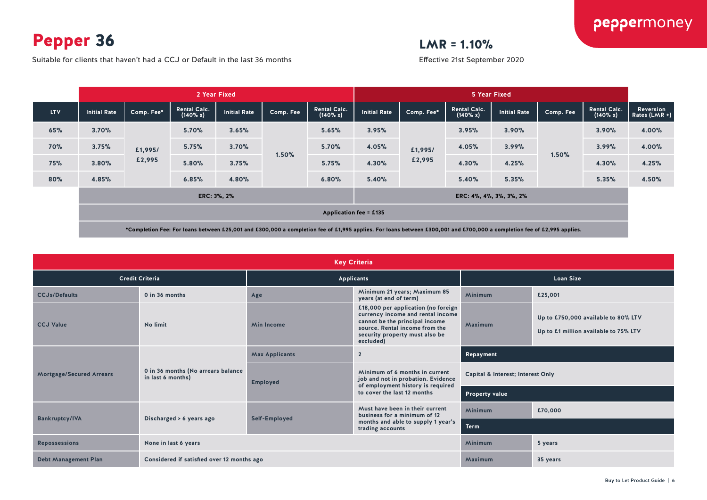Pepper 36

Suitable for clients that haven't had a CCJ or Default in the last 36 months

### $LMR = 1.10%$

Effective 21st September 2020

|                                        |                                 | 2 Year Fixed                    |           |                                    |              |            | 5 Year Fixed                    |                     |           |                                 |                            |
|----------------------------------------|---------------------------------|---------------------------------|-----------|------------------------------------|--------------|------------|---------------------------------|---------------------|-----------|---------------------------------|----------------------------|
|                                        | <b>Rental Calc.</b><br>(140% x) | <b>Initial Rate</b>             | Comp. Fee | <b>Rental Calc.</b><br>$(140\% x)$ | Initial Rate | Comp. Fee* | <b>Rental Calc.</b><br>(140% x) | <b>Initial Rate</b> | Comp. Fee | <b>Rental Calc.</b><br>(140% x) | Reversion<br>Rates (LMR +) |
| 3.70%                                  | 5.70%                           | 3.65%                           |           | 5.65%                              | 3.95%        |            | 3.95%                           | 3.90%               |           | 3.90%                           | 4.00%                      |
| 3.75%                                  | 5.75%                           | 3.70%                           | 1.50%     | 5.70%                              | 4.05%        | £1,995/    | 4.05%                           | 3.99%               |           | 3.99%                           | 4.00%                      |
| 3.80%                                  | 5.80%                           | 3.75%                           |           | 5.75%                              | 4.30%        | £2,995     | 4.30%                           | 4.25%               |           | 4.30%                           | 4.25%                      |
| 4.85%                                  | 6.85%                           | 4.80%                           |           | 6.80%                              | 5.40%        |            | 5.40%                           | 5.35%               |           | 5.35%                           | 4.50%                      |
| ERC: 3%, 2%<br>ERC: 4%, 4%, 3%, 3%, 2% |                                 |                                 |           |                                    |              |            |                                 |                     |           |                                 |                            |
| <b>Application fee = £135</b>          |                                 |                                 |           |                                    |              |            |                                 |                     |           |                                 |                            |
|                                        | <b>Initial Rate</b>             | Comp. Fee*<br>£1,995/<br>£2,995 |           |                                    |              |            |                                 |                     |           | 1.50%                           |                            |

|                                 |                                                         |                                                               | <b>Key Criteria</b>                                                                                                                                                                         |                                   |                                                                              |  |
|---------------------------------|---------------------------------------------------------|---------------------------------------------------------------|---------------------------------------------------------------------------------------------------------------------------------------------------------------------------------------------|-----------------------------------|------------------------------------------------------------------------------|--|
|                                 | <b>Credit Criteria</b>                                  |                                                               | <b>Applicants</b>                                                                                                                                                                           | <b>Loan Size</b>                  |                                                                              |  |
| <b>CCJs/Defaults</b>            | 0 in 36 months                                          | Minimum 21 years; Maximum 85<br>Age<br>years (at end of term) |                                                                                                                                                                                             | Minimum                           | £25,001                                                                      |  |
| <b>CCJ Value</b>                | No limit                                                | <b>Min Income</b>                                             | £18,000 per application (no foreign<br>currency income and rental income<br>cannot be the principal income<br>source. Rental income from the<br>security property must also be<br>excluded) | Maximum                           | Up to £750,000 available to 80% LTV<br>Up to £1 million available to 75% LTV |  |
|                                 |                                                         | <b>Max Applicants</b><br>$\overline{2}$                       |                                                                                                                                                                                             | Repayment                         |                                                                              |  |
| <b>Mortgage/Secured Arrears</b> | 0 in 36 months (No arrears balance<br>in last 6 months) | <b>Employed</b>                                               | Minimum of 6 months in current<br>job and not in probation. Evidence<br>of employment history is required                                                                                   | Capital & Interest; Interest Only |                                                                              |  |
|                                 |                                                         |                                                               | to cover the last 12 months                                                                                                                                                                 | <b>Property value</b>             |                                                                              |  |
|                                 |                                                         |                                                               | Must have been in their current<br>business for a minimum of 12                                                                                                                             | <b>Minimum</b>                    | £70,000                                                                      |  |
| <b>Bankruptcy/IVA</b>           | Discharged > 6 years ago                                | Self-Employed                                                 | months and able to supply 1 year's<br>trading accounts                                                                                                                                      | <b>Term</b>                       |                                                                              |  |
| <b>Repossessions</b>            | None in last 6 years                                    |                                                               |                                                                                                                                                                                             | <b>Minimum</b>                    | 5 years                                                                      |  |
| <b>Debt Management Plan</b>     | Considered if satisfied over 12 months ago              |                                                               |                                                                                                                                                                                             | Maximum                           | 35 years                                                                     |  |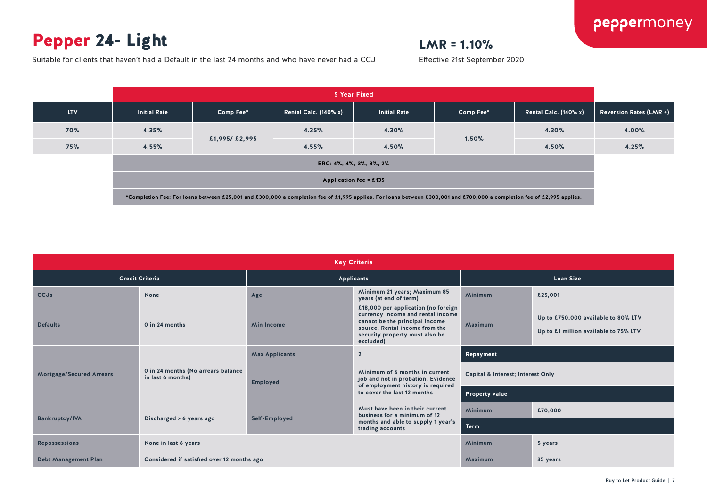### Pepper 24- Light

### $LMR = 1.10%$

Effective 21st September 2020

peppermoney

Suitable for clients that haven't had a Default in the last 24 months and who have never had a CCJ



|                                 | <b>Key Criteria</b>                                     |                                         |                                                                                                                                                                                             |                                   |                                                                              |  |  |  |  |  |
|---------------------------------|---------------------------------------------------------|-----------------------------------------|---------------------------------------------------------------------------------------------------------------------------------------------------------------------------------------------|-----------------------------------|------------------------------------------------------------------------------|--|--|--|--|--|
| <b>Credit Criteria</b>          |                                                         |                                         | <b>Applicants</b>                                                                                                                                                                           |                                   | <b>Loan Size</b>                                                             |  |  |  |  |  |
| <b>CCJs</b>                     | None                                                    | Age                                     | Minimum 21 years; Maximum 85<br>years (at end of term)                                                                                                                                      | <b>Minimum</b>                    | £25,001                                                                      |  |  |  |  |  |
| <b>Defaults</b>                 | 0 in 24 months                                          | <b>Min Income</b>                       | £18,000 per application (no foreign<br>currency income and rental income<br>cannot be the principal income<br>source. Rental income from the<br>security property must also be<br>excluded) | Maximum                           | Up to £750,000 available to 80% LTV<br>Up to £1 million available to 75% LTV |  |  |  |  |  |
|                                 |                                                         | $\overline{2}$<br><b>Max Applicants</b> |                                                                                                                                                                                             | Repayment                         |                                                                              |  |  |  |  |  |
| <b>Mortgage/Secured Arrears</b> | 0 in 24 months (No arrears balance<br>in last 6 months) | <b>Employed</b>                         | Minimum of 6 months in current<br>job and not in probation. Evidence<br>of employment history is required                                                                                   | Capital & Interest; Interest Only |                                                                              |  |  |  |  |  |
|                                 |                                                         |                                         | to cover the last 12 months                                                                                                                                                                 | <b>Property value</b>             |                                                                              |  |  |  |  |  |
|                                 |                                                         |                                         | Must have been in their current<br>business for a minimum of 12                                                                                                                             | <b>Minimum</b>                    | £70,000                                                                      |  |  |  |  |  |
| <b>Bankruptcy/IVA</b>           | Discharged > 6 years ago                                | Self-Employed                           | months and able to supply 1 year's<br>trading accounts                                                                                                                                      | <b>Term</b>                       |                                                                              |  |  |  |  |  |
| <b>Repossessions</b>            | None in last 6 years                                    |                                         |                                                                                                                                                                                             | <b>Minimum</b>                    | 5 years                                                                      |  |  |  |  |  |
| <b>Debt Management Plan</b>     | Considered if satisfied over 12 months ago              |                                         |                                                                                                                                                                                             | Maximum                           | 35 years                                                                     |  |  |  |  |  |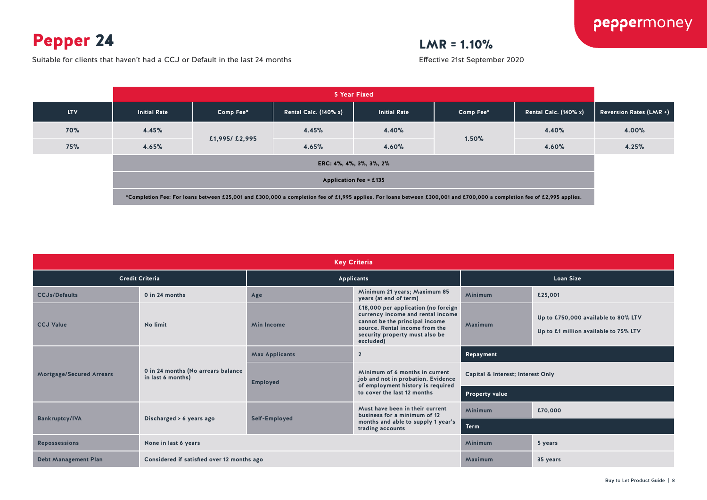### Pepper 24

Suitable for clients that haven't had a CCJ or Default in the last 24 months

### $LMR = 1.10%$



| <b>Key Criteria</b>             |                                                         |                                         |                                                                                                                                                                                             |                                   |                                                                              |  |  |  |  |
|---------------------------------|---------------------------------------------------------|-----------------------------------------|---------------------------------------------------------------------------------------------------------------------------------------------------------------------------------------------|-----------------------------------|------------------------------------------------------------------------------|--|--|--|--|
|                                 | <b>Credit Criteria</b>                                  |                                         | <b>Applicants</b>                                                                                                                                                                           |                                   | <b>Loan Size</b>                                                             |  |  |  |  |
| <b>CCJs/Defaults</b>            | 0 in 24 months                                          | Age                                     | Minimum 21 years; Maximum 85<br>years (at end of term)                                                                                                                                      | <b>Minimum</b>                    | £25,001                                                                      |  |  |  |  |
| <b>CCJ Value</b>                | No limit                                                | <b>Min Income</b>                       | £18,000 per application (no foreign<br>currency income and rental income<br>cannot be the principal income<br>source. Rental income from the<br>security property must also be<br>excluded) | Maximum                           | Up to £750,000 available to 80% LTV<br>Up to £1 million available to 75% LTV |  |  |  |  |
|                                 |                                                         | <b>Max Applicants</b><br>$\overline{2}$ |                                                                                                                                                                                             | Repayment                         |                                                                              |  |  |  |  |
| <b>Mortgage/Secured Arrears</b> | 0 in 24 months (No arrears balance<br>in last 6 months) | <b>Employed</b>                         | Minimum of 6 months in current<br>job and not in probation. Evidence<br>of employment history is required                                                                                   | Capital & Interest; Interest Only |                                                                              |  |  |  |  |
|                                 |                                                         |                                         | to cover the last 12 months                                                                                                                                                                 | Property value                    |                                                                              |  |  |  |  |
|                                 |                                                         |                                         | Must have been in their current<br>business for a minimum of 12                                                                                                                             | Minimum                           | £70,000                                                                      |  |  |  |  |
| <b>Bankruptcy/IVA</b>           | Discharged > 6 years ago                                | Self-Employed                           | months and able to supply 1 year's<br>trading accounts                                                                                                                                      | <b>Term</b>                       |                                                                              |  |  |  |  |
| <b>Repossessions</b>            | None in last 6 years                                    |                                         |                                                                                                                                                                                             | <b>Minimum</b>                    | 5 years                                                                      |  |  |  |  |
| <b>Debt Management Plan</b>     | Considered if satisfied over 12 months ago              |                                         |                                                                                                                                                                                             | Maximum                           | 35 years                                                                     |  |  |  |  |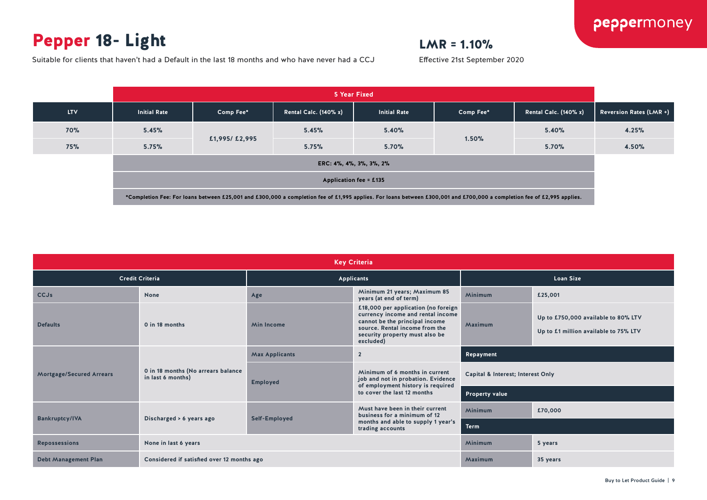### Pepper 18- Light

### $LMR = 1.10%$

Effective 21st September 2020

Suitable for clients that haven't had a Default in the last 18 months and who have never had a CCJ



|                                 |                                                         |                                                               | <b>Key Criteria</b>                                                                                                                                                                         |                                   |                                                                              |  |
|---------------------------------|---------------------------------------------------------|---------------------------------------------------------------|---------------------------------------------------------------------------------------------------------------------------------------------------------------------------------------------|-----------------------------------|------------------------------------------------------------------------------|--|
| <b>Credit Criteria</b>          |                                                         |                                                               | <b>Applicants</b>                                                                                                                                                                           | <b>Loan Size</b>                  |                                                                              |  |
| <b>CCJs</b>                     | <b>None</b>                                             | Minimum 21 years; Maximum 85<br>Age<br>years (at end of term) |                                                                                                                                                                                             | Minimum                           | £25,001                                                                      |  |
| <b>Defaults</b>                 | 0 in 18 months                                          | <b>Min Income</b>                                             | £18,000 per application (no foreign<br>currency income and rental income<br>cannot be the principal income<br>source. Rental income from the<br>security property must also be<br>excluded) | Maximum                           | Up to £750,000 available to 80% LTV<br>Up to £1 million available to 75% LTV |  |
|                                 |                                                         | <b>Max Applicants</b><br>$\overline{2}$                       |                                                                                                                                                                                             | Repayment                         |                                                                              |  |
| <b>Mortgage/Secured Arrears</b> | 0 in 18 months (No arrears balance<br>in last 6 months) | <b>Employed</b>                                               | Minimum of 6 months in current<br>job and not in probation. Evidence<br>of employment history is required                                                                                   | Capital & Interest; Interest Only |                                                                              |  |
|                                 |                                                         |                                                               | to cover the last 12 months                                                                                                                                                                 | <b>Property value</b>             |                                                                              |  |
|                                 |                                                         |                                                               | Must have been in their current<br>business for a minimum of 12                                                                                                                             | Minimum                           | £70,000                                                                      |  |
| <b>Bankruptcy/IVA</b>           | Discharged > 6 years ago                                | Self-Employed                                                 | months and able to supply 1 year's<br>trading accounts                                                                                                                                      | <b>Term</b>                       |                                                                              |  |
| <b>Repossessions</b>            | None in last 6 years                                    |                                                               |                                                                                                                                                                                             | Minimum                           | 5 years                                                                      |  |
| <b>Debt Management Plan</b>     | Considered if satisfied over 12 months ago              |                                                               |                                                                                                                                                                                             | Maximum                           | 35 years                                                                     |  |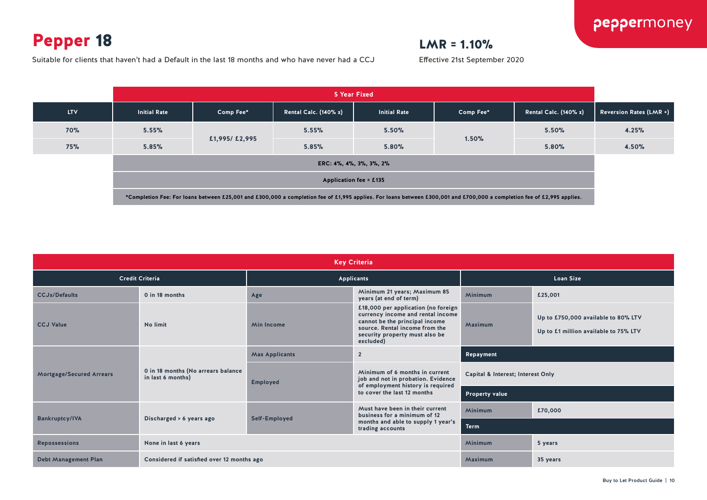### Pepper 18

Suitable for clients that haven't had a Default in the last 18 months and who have never had a CCJ





|                                 | <b>Key Criteria</b>                                     |                                         |                                                                                                                                                                                             |                                   |                                                                              |  |  |  |  |  |
|---------------------------------|---------------------------------------------------------|-----------------------------------------|---------------------------------------------------------------------------------------------------------------------------------------------------------------------------------------------|-----------------------------------|------------------------------------------------------------------------------|--|--|--|--|--|
|                                 | <b>Credit Criteria</b>                                  |                                         | <b>Applicants</b>                                                                                                                                                                           |                                   | <b>Loan Size</b>                                                             |  |  |  |  |  |
| <b>CCJs/Defaults</b>            | 0 in 18 months                                          | Age                                     | Minimum 21 years; Maximum 85<br>years (at end of term)                                                                                                                                      | <b>Minimum</b>                    | £25,001                                                                      |  |  |  |  |  |
| <b>CCJ Value</b>                | No limit                                                | <b>Min Income</b>                       | £18,000 per application (no foreign<br>currency income and rental income<br>cannot be the principal income<br>source. Rental income from the<br>security property must also be<br>excluded) | Maximum                           | Up to £750,000 available to 80% LTV<br>Up to £1 million available to 75% LTV |  |  |  |  |  |
|                                 |                                                         | <b>Max Applicants</b><br>$\overline{2}$ |                                                                                                                                                                                             | Repayment                         |                                                                              |  |  |  |  |  |
| <b>Mortgage/Secured Arrears</b> | 0 in 18 months (No arrears balance<br>in last 6 months) | <b>Employed</b>                         | Minimum of 6 months in current<br>job and not in probation. Evidence<br>of employment history is required                                                                                   | Capital & Interest; Interest Only |                                                                              |  |  |  |  |  |
|                                 |                                                         |                                         | to cover the last 12 months                                                                                                                                                                 | <b>Property value</b>             |                                                                              |  |  |  |  |  |
|                                 |                                                         |                                         | Must have been in their current<br>business for a minimum of 12                                                                                                                             | Minimum                           | £70,000                                                                      |  |  |  |  |  |
| <b>Bankruptcy/IVA</b>           | Discharged > 6 years ago                                | Self-Employed                           | months and able to supply 1 year's<br>trading accounts                                                                                                                                      | <b>Term</b>                       |                                                                              |  |  |  |  |  |
| <b>Repossessions</b>            | None in last 6 years                                    |                                         |                                                                                                                                                                                             | Minimum                           | 5 years                                                                      |  |  |  |  |  |
| <b>Debt Management Plan</b>     | Considered if satisfied over 12 months ago              |                                         |                                                                                                                                                                                             |                                   | 35 years                                                                     |  |  |  |  |  |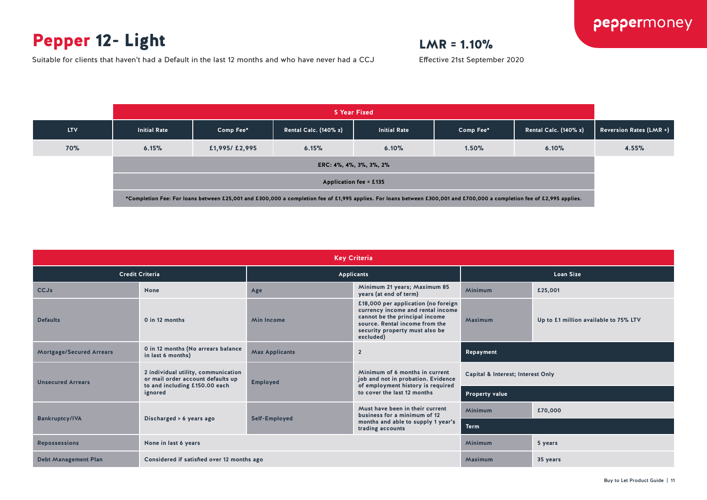### Pepper 12- Light

Suitable for clients that haven't had a Default in the last 12 months and who have never had a CCJ

### $LMR = 1.10%$

|            | 5 Year Fixed                                                                                                                                                            |               |                              |                     |           |                       |                                |
|------------|-------------------------------------------------------------------------------------------------------------------------------------------------------------------------|---------------|------------------------------|---------------------|-----------|-----------------------|--------------------------------|
| <b>LTV</b> | <b>Initial Rate</b>                                                                                                                                                     | Comp Fee*     | <b>Rental Calc. (140% x)</b> | <b>Initial Rate</b> | Comp Fee* | Rental Calc. (140% x) | <b>Reversion Rates (LMR +)</b> |
| <b>70%</b> | 6.15%                                                                                                                                                                   | £1,995/£2,995 | 6.15%                        | 6.10%               | 1.50%     | 6.10%                 | 4.55%                          |
|            | ERC: 4%, 4%, 3%, 3%, 2%<br>Application fee = £135                                                                                                                       |               |                              |                     |           |                       |                                |
|            |                                                                                                                                                                         |               |                              |                     |           |                       |                                |
|            | *Completion Fee: For loans between £25,001 and £300,000 a completion fee of £1,995 applies. For loans between £300,001 and £700,000 a completion fee of £2,995 applies. |               |                              |                     |           |                       |                                |

| <b>Key Criteria</b>             |                                                                                                           |                                                               |                                                                                                                                                                                             |                                   |                                       |  |  |
|---------------------------------|-----------------------------------------------------------------------------------------------------------|---------------------------------------------------------------|---------------------------------------------------------------------------------------------------------------------------------------------------------------------------------------------|-----------------------------------|---------------------------------------|--|--|
| <b>Credit Criteria</b>          |                                                                                                           | Applicants                                                    |                                                                                                                                                                                             | <b>Loan Size</b>                  |                                       |  |  |
| <b>CCJs</b>                     | None                                                                                                      | Minimum 21 years; Maximum 85<br>Age<br>years (at end of term) |                                                                                                                                                                                             | <b>Minimum</b>                    | £25,001                               |  |  |
| <b>Defaults</b>                 | 0 in 12 months                                                                                            | <b>Min Income</b>                                             | £18,000 per application (no foreign<br>currency income and rental income<br>cannot be the principal income<br>source. Rental income from the<br>security property must also be<br>excluded) | Maximum                           | Up to £1 million available to 75% LTV |  |  |
| <b>Mortgage/Secured Arrears</b> | 0 in 12 months (No arrears balance<br>in last 6 months)                                                   | <b>Max Applicants</b>                                         | $\overline{2}$                                                                                                                                                                              | Repayment                         |                                       |  |  |
| <b>Unsecured Arrears</b>        | 2 individual utility, communication<br>or mail order account defaults up<br>to and including £150.00 each | <b>Employed</b>                                               | Minimum of 6 months in current<br>job and not in probation. Evidence<br>of employment history is required<br>to cover the last 12 months                                                    | Capital & Interest; Interest Only |                                       |  |  |
|                                 | ignored                                                                                                   |                                                               |                                                                                                                                                                                             | <b>Property value</b>             |                                       |  |  |
| <b>Bankruptcy/IVA</b>           |                                                                                                           |                                                               | Must have been in their current<br>business for a minimum of 12<br>months and able to supply 1 year's<br>trading accounts                                                                   | <b>Minimum</b>                    | £70,000                               |  |  |
|                                 | Discharged > 6 years ago                                                                                  | Self-Employed                                                 |                                                                                                                                                                                             | <b>Term</b>                       |                                       |  |  |
| <b>Repossessions</b>            | None in last 6 years                                                                                      | <b>Minimum</b><br>5 years                                     |                                                                                                                                                                                             |                                   |                                       |  |  |
| <b>Debt Management Plan</b>     | Considered if satisfied over 12 months ago                                                                |                                                               |                                                                                                                                                                                             | Maximum                           | 35 years                              |  |  |